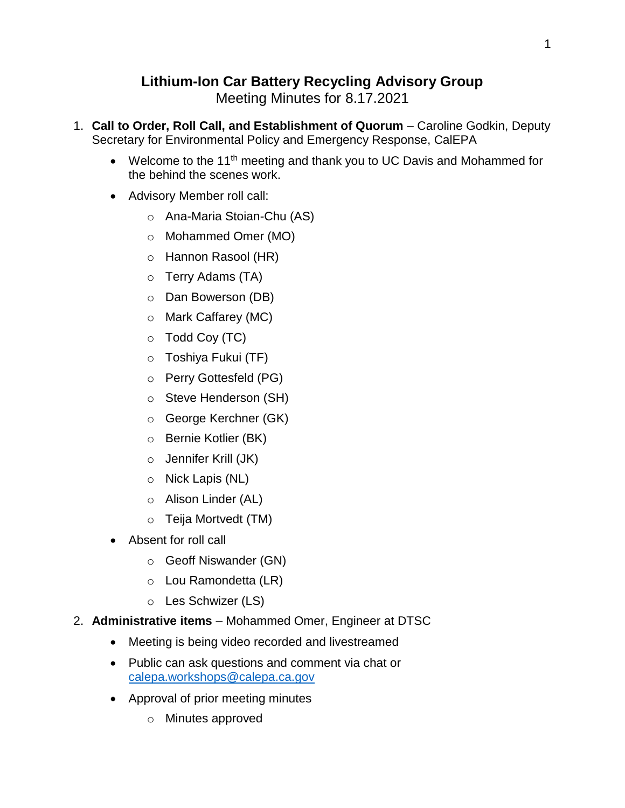## **Lithium-Ion Car Battery Recycling Advisory Group**

Meeting Minutes for 8.17.2021

- 1. **Call to Order, Roll Call, and Establishment of Quorum** Caroline Godkin, Deputy Secretary for Environmental Policy and Emergency Response, CalEPA
	- Welcome to the 11<sup>th</sup> meeting and thank you to UC Davis and Mohammed for the behind the scenes work.
	- Advisory Member roll call:
		- o Ana-Maria Stoian-Chu (AS)
		- o Mohammed Omer (MO)
		- o Hannon Rasool (HR)
		- o Terry Adams (TA)
		- o Dan Bowerson (DB)
		- o Mark Caffarey (MC)
		- o Todd Coy (TC)
		- o Toshiya Fukui (TF)
		- o Perry Gottesfeld (PG)
		- o Steve Henderson (SH)
		- o George Kerchner (GK)
		- o Bernie Kotlier (BK)
		- o Jennifer Krill (JK)
		- o Nick Lapis (NL)
		- o Alison Linder (AL)
		- o Teija Mortvedt (TM)
	- Absent for roll call
		- o Geoff Niswander (GN)
		- o Lou Ramondetta (LR)
		- o Les Schwizer (LS)
- 2. **Administrative items** Mohammed Omer, Engineer at DTSC
	- Meeting is being video recorded and livestreamed
	- Public can ask questions and comment via chat or [calepa.workshops@calepa.ca.gov](mailto:calepa.workshops@calepa.ca.gov)
	- Approval of prior meeting minutes
		- o Minutes approved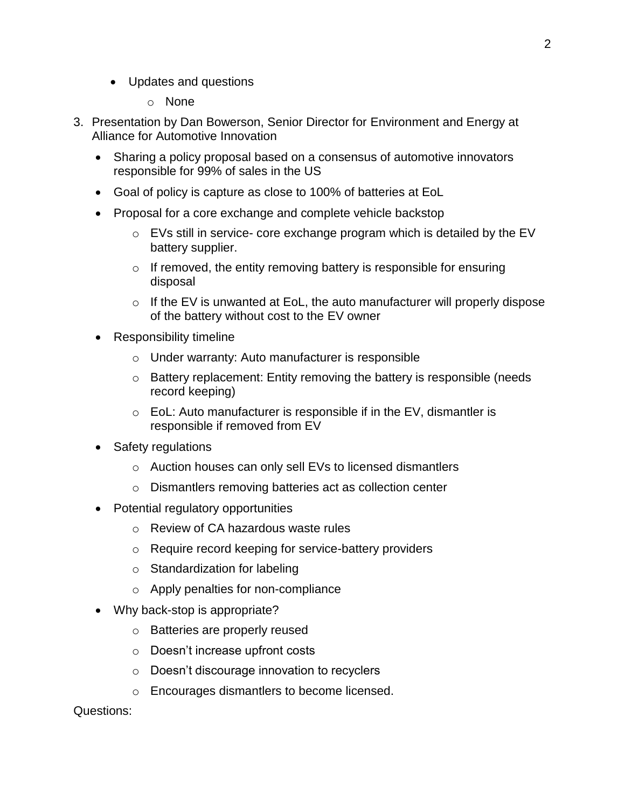- Updates and questions
	- o None
- 3. Presentation by Dan Bowerson, Senior Director for Environment and Energy at Alliance for Automotive Innovation
	- Sharing a policy proposal based on a consensus of automotive innovators responsible for 99% of sales in the US
	- Goal of policy is capture as close to 100% of batteries at EoL
	- Proposal for a core exchange and complete vehicle backstop
		- $\circ$  EVs still in service- core exchange program which is detailed by the EV battery supplier.
		- $\circ$  If removed, the entity removing battery is responsible for ensuring disposal
		- $\circ$  If the EV is unwanted at EoL, the auto manufacturer will properly dispose of the battery without cost to the EV owner
	- Responsibility timeline
		- o Under warranty: Auto manufacturer is responsible
		- o Battery replacement: Entity removing the battery is responsible (needs record keeping)
		- o EoL: Auto manufacturer is responsible if in the EV, dismantler is responsible if removed from EV
	- Safety regulations
		- o Auction houses can only sell EVs to licensed dismantlers
		- o Dismantlers removing batteries act as collection center
	- Potential regulatory opportunities
		- o Review of CA hazardous waste rules
		- o Require record keeping for service-battery providers
		- o Standardization for labeling
		- o Apply penalties for non-compliance
	- Why back-stop is appropriate?
		- o Batteries are properly reused
		- o Doesn't increase upfront costs
		- o Doesn't discourage innovation to recyclers
		- o Encourages dismantlers to become licensed.

Questions: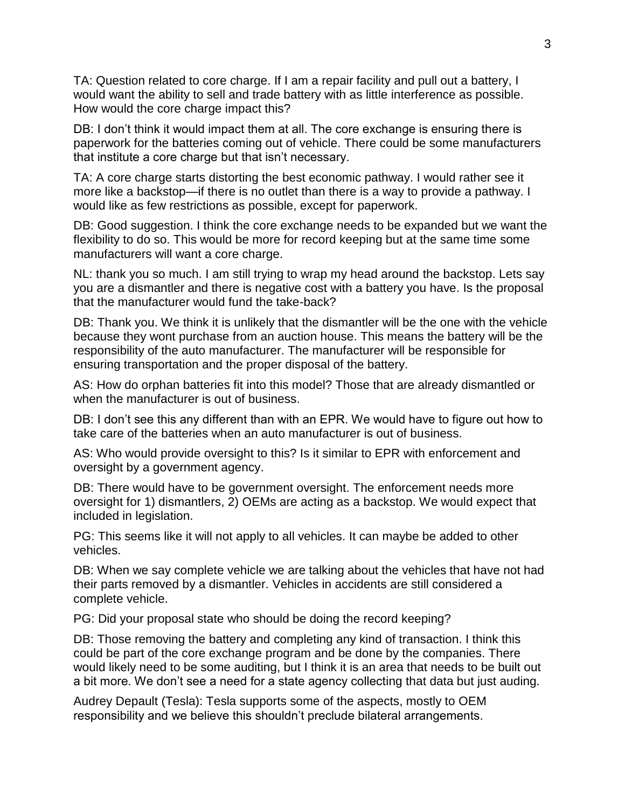TA: Question related to core charge. If I am a repair facility and pull out a battery, I would want the ability to sell and trade battery with as little interference as possible. How would the core charge impact this?

DB: I don't think it would impact them at all. The core exchange is ensuring there is paperwork for the batteries coming out of vehicle. There could be some manufacturers that institute a core charge but that isn't necessary.

TA: A core charge starts distorting the best economic pathway. I would rather see it more like a backstop—if there is no outlet than there is a way to provide a pathway. I would like as few restrictions as possible, except for paperwork.

DB: Good suggestion. I think the core exchange needs to be expanded but we want the flexibility to do so. This would be more for record keeping but at the same time some manufacturers will want a core charge.

NL: thank you so much. I am still trying to wrap my head around the backstop. Lets say you are a dismantler and there is negative cost with a battery you have. Is the proposal that the manufacturer would fund the take-back?

DB: Thank you. We think it is unlikely that the dismantler will be the one with the vehicle because they wont purchase from an auction house. This means the battery will be the responsibility of the auto manufacturer. The manufacturer will be responsible for ensuring transportation and the proper disposal of the battery.

AS: How do orphan batteries fit into this model? Those that are already dismantled or when the manufacturer is out of business.

DB: I don't see this any different than with an EPR. We would have to figure out how to take care of the batteries when an auto manufacturer is out of business.

AS: Who would provide oversight to this? Is it similar to EPR with enforcement and oversight by a government agency.

DB: There would have to be government oversight. The enforcement needs more oversight for 1) dismantlers, 2) OEMs are acting as a backstop. We would expect that included in legislation.

PG: This seems like it will not apply to all vehicles. It can maybe be added to other vehicles.

DB: When we say complete vehicle we are talking about the vehicles that have not had their parts removed by a dismantler. Vehicles in accidents are still considered a complete vehicle.

PG: Did your proposal state who should be doing the record keeping?

DB: Those removing the battery and completing any kind of transaction. I think this could be part of the core exchange program and be done by the companies. There would likely need to be some auditing, but I think it is an area that needs to be built out a bit more. We don't see a need for a state agency collecting that data but just auding.

Audrey Depault (Tesla): Tesla supports some of the aspects, mostly to OEM responsibility and we believe this shouldn't preclude bilateral arrangements.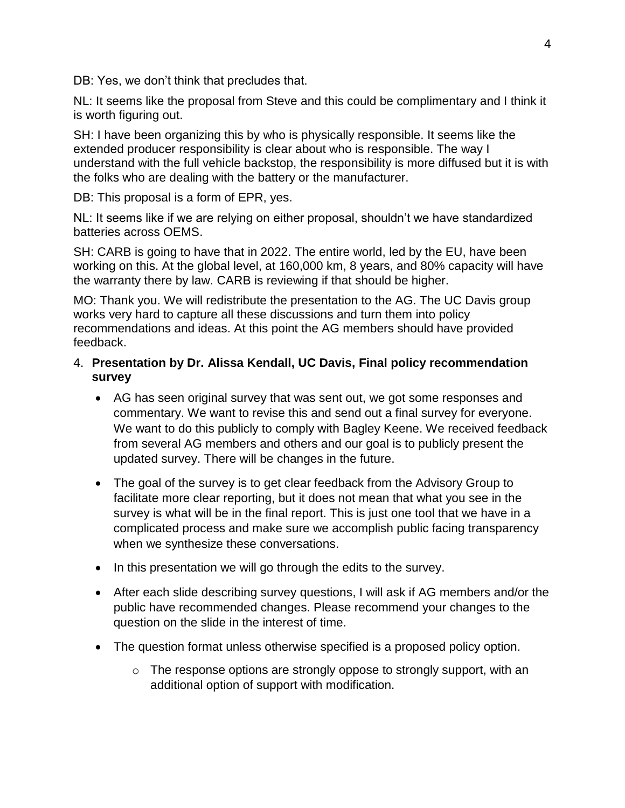DB: Yes, we don't think that precludes that.

NL: It seems like the proposal from Steve and this could be complimentary and I think it is worth figuring out.

SH: I have been organizing this by who is physically responsible. It seems like the extended producer responsibility is clear about who is responsible. The way I understand with the full vehicle backstop, the responsibility is more diffused but it is with the folks who are dealing with the battery or the manufacturer.

DB: This proposal is a form of EPR, yes.

NL: It seems like if we are relying on either proposal, shouldn't we have standardized batteries across OEMS.

SH: CARB is going to have that in 2022. The entire world, led by the EU, have been working on this. At the global level, at 160,000 km, 8 years, and 80% capacity will have the warranty there by law. CARB is reviewing if that should be higher.

MO: Thank you. We will redistribute the presentation to the AG. The UC Davis group works very hard to capture all these discussions and turn them into policy recommendations and ideas. At this point the AG members should have provided feedback.

## 4. **Presentation by Dr. Alissa Kendall, UC Davis, Final policy recommendation survey**

- AG has seen original survey that was sent out, we got some responses and commentary. We want to revise this and send out a final survey for everyone. We want to do this publicly to comply with Bagley Keene. We received feedback from several AG members and others and our goal is to publicly present the updated survey. There will be changes in the future.
- The goal of the survey is to get clear feedback from the Advisory Group to facilitate more clear reporting, but it does not mean that what you see in the survey is what will be in the final report. This is just one tool that we have in a complicated process and make sure we accomplish public facing transparency when we synthesize these conversations.
- In this presentation we will go through the edits to the survey.
- After each slide describing survey questions, I will ask if AG members and/or the public have recommended changes. Please recommend your changes to the question on the slide in the interest of time.
- The question format unless otherwise specified is a proposed policy option.
	- o The response options are strongly oppose to strongly support, with an additional option of support with modification.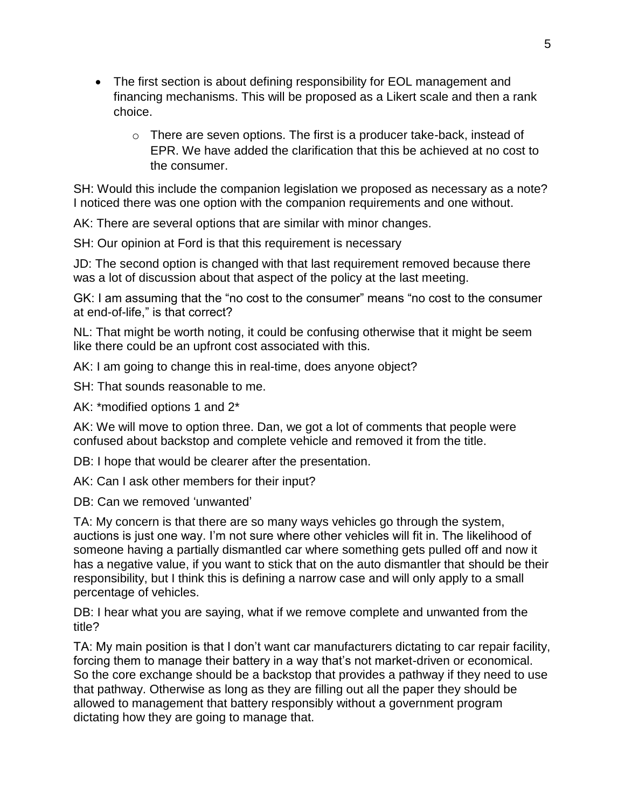- The first section is about defining responsibility for EOL management and financing mechanisms. This will be proposed as a Likert scale and then a rank choice.
	- o There are seven options. The first is a producer take-back, instead of EPR. We have added the clarification that this be achieved at no cost to the consumer.

SH: Would this include the companion legislation we proposed as necessary as a note? I noticed there was one option with the companion requirements and one without.

AK: There are several options that are similar with minor changes.

SH: Our opinion at Ford is that this requirement is necessary

JD: The second option is changed with that last requirement removed because there was a lot of discussion about that aspect of the policy at the last meeting.

GK: I am assuming that the "no cost to the consumer" means "no cost to the consumer at end-of-life," is that correct?

NL: That might be worth noting, it could be confusing otherwise that it might be seem like there could be an upfront cost associated with this.

AK: I am going to change this in real-time, does anyone object?

SH: That sounds reasonable to me.

AK: \*modified options 1 and 2\*

AK: We will move to option three. Dan, we got a lot of comments that people were confused about backstop and complete vehicle and removed it from the title.

DB: I hope that would be clearer after the presentation.

AK: Can I ask other members for their input?

DB: Can we removed 'unwanted'

TA: My concern is that there are so many ways vehicles go through the system, auctions is just one way. I'm not sure where other vehicles will fit in. The likelihood of someone having a partially dismantled car where something gets pulled off and now it has a negative value, if you want to stick that on the auto dismantler that should be their responsibility, but I think this is defining a narrow case and will only apply to a small percentage of vehicles.

DB: I hear what you are saying, what if we remove complete and unwanted from the title?

TA: My main position is that I don't want car manufacturers dictating to car repair facility, forcing them to manage their battery in a way that's not market-driven or economical. So the core exchange should be a backstop that provides a pathway if they need to use that pathway. Otherwise as long as they are filling out all the paper they should be allowed to management that battery responsibly without a government program dictating how they are going to manage that.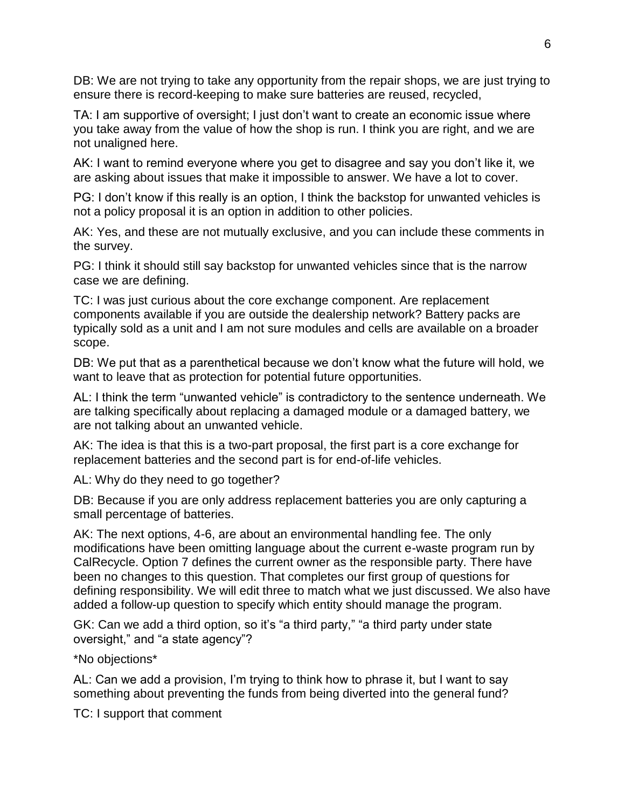DB: We are not trying to take any opportunity from the repair shops, we are just trying to ensure there is record-keeping to make sure batteries are reused, recycled,

TA: I am supportive of oversight; I just don't want to create an economic issue where you take away from the value of how the shop is run. I think you are right, and we are not unaligned here.

AK: I want to remind everyone where you get to disagree and say you don't like it, we are asking about issues that make it impossible to answer. We have a lot to cover.

PG: I don't know if this really is an option, I think the backstop for unwanted vehicles is not a policy proposal it is an option in addition to other policies.

AK: Yes, and these are not mutually exclusive, and you can include these comments in the survey.

PG: I think it should still say backstop for unwanted vehicles since that is the narrow case we are defining.

TC: I was just curious about the core exchange component. Are replacement components available if you are outside the dealership network? Battery packs are typically sold as a unit and I am not sure modules and cells are available on a broader scope.

DB: We put that as a parenthetical because we don't know what the future will hold, we want to leave that as protection for potential future opportunities.

AL: I think the term "unwanted vehicle" is contradictory to the sentence underneath. We are talking specifically about replacing a damaged module or a damaged battery, we are not talking about an unwanted vehicle.

AK: The idea is that this is a two-part proposal, the first part is a core exchange for replacement batteries and the second part is for end-of-life vehicles.

AL: Why do they need to go together?

DB: Because if you are only address replacement batteries you are only capturing a small percentage of batteries.

AK: The next options, 4-6, are about an environmental handling fee. The only modifications have been omitting language about the current e-waste program run by CalRecycle. Option 7 defines the current owner as the responsible party. There have been no changes to this question. That completes our first group of questions for defining responsibility. We will edit three to match what we just discussed. We also have added a follow-up question to specify which entity should manage the program.

GK: Can we add a third option, so it's "a third party," "a third party under state oversight," and "a state agency"?

\*No objections\*

AL: Can we add a provision, I'm trying to think how to phrase it, but I want to say something about preventing the funds from being diverted into the general fund?

TC: I support that comment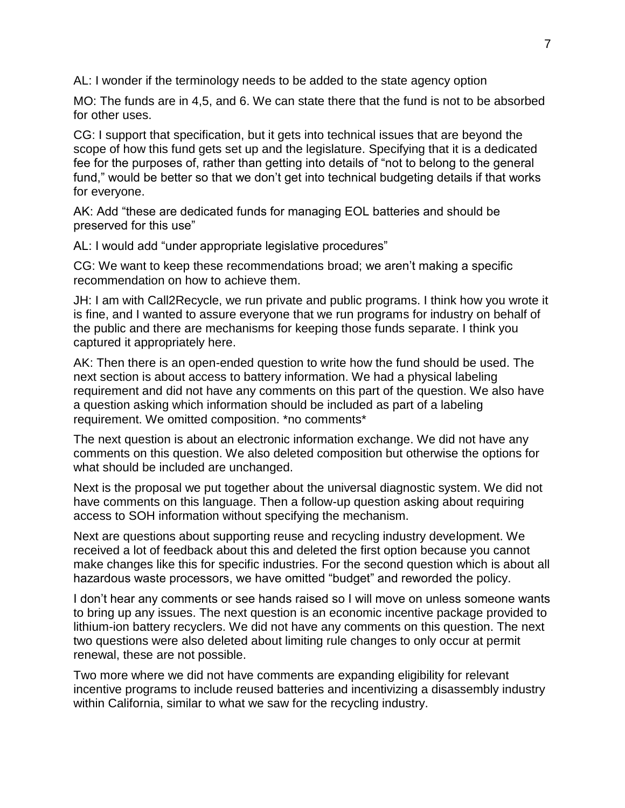AL: I wonder if the terminology needs to be added to the state agency option

MO: The funds are in 4,5, and 6. We can state there that the fund is not to be absorbed for other uses.

CG: I support that specification, but it gets into technical issues that are beyond the scope of how this fund gets set up and the legislature. Specifying that it is a dedicated fee for the purposes of, rather than getting into details of "not to belong to the general fund," would be better so that we don't get into technical budgeting details if that works for everyone.

AK: Add "these are dedicated funds for managing EOL batteries and should be preserved for this use"

AL: I would add "under appropriate legislative procedures"

CG: We want to keep these recommendations broad; we aren't making a specific recommendation on how to achieve them.

JH: I am with Call2Recycle, we run private and public programs. I think how you wrote it is fine, and I wanted to assure everyone that we run programs for industry on behalf of the public and there are mechanisms for keeping those funds separate. I think you captured it appropriately here.

AK: Then there is an open-ended question to write how the fund should be used. The next section is about access to battery information. We had a physical labeling requirement and did not have any comments on this part of the question. We also have a question asking which information should be included as part of a labeling requirement. We omitted composition. \*no comments\*

The next question is about an electronic information exchange. We did not have any comments on this question. We also deleted composition but otherwise the options for what should be included are unchanged.

Next is the proposal we put together about the universal diagnostic system. We did not have comments on this language. Then a follow-up question asking about requiring access to SOH information without specifying the mechanism.

Next are questions about supporting reuse and recycling industry development. We received a lot of feedback about this and deleted the first option because you cannot make changes like this for specific industries. For the second question which is about all hazardous waste processors, we have omitted "budget" and reworded the policy.

I don't hear any comments or see hands raised so I will move on unless someone wants to bring up any issues. The next question is an economic incentive package provided to lithium-ion battery recyclers. We did not have any comments on this question. The next two questions were also deleted about limiting rule changes to only occur at permit renewal, these are not possible.

Two more where we did not have comments are expanding eligibility for relevant incentive programs to include reused batteries and incentivizing a disassembly industry within California, similar to what we saw for the recycling industry.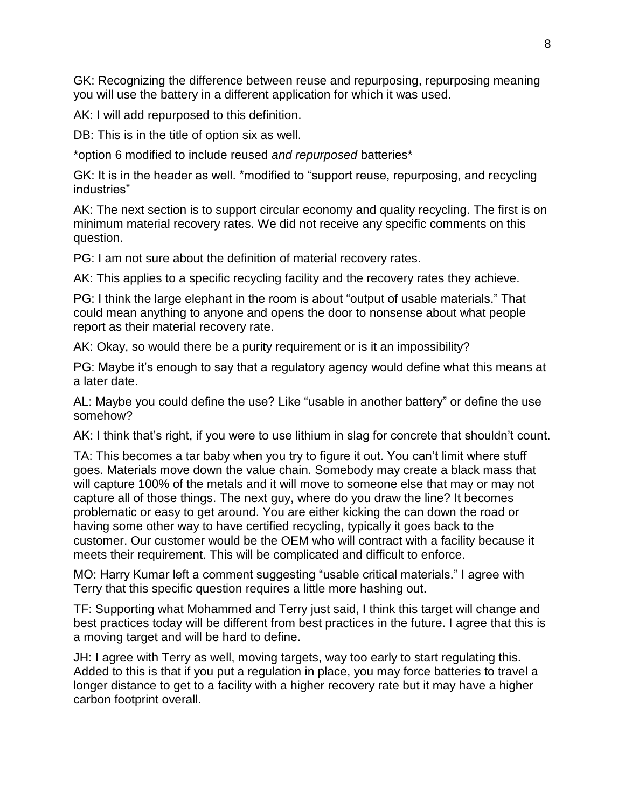GK: Recognizing the difference between reuse and repurposing, repurposing meaning you will use the battery in a different application for which it was used.

AK: I will add repurposed to this definition.

DB: This is in the title of option six as well.

\*option 6 modified to include reused *and repurposed* batteries\*

GK: It is in the header as well. \*modified to "support reuse, repurposing, and recycling industries"

AK: The next section is to support circular economy and quality recycling. The first is on minimum material recovery rates. We did not receive any specific comments on this question.

PG: I am not sure about the definition of material recovery rates.

AK: This applies to a specific recycling facility and the recovery rates they achieve.

PG: I think the large elephant in the room is about "output of usable materials." That could mean anything to anyone and opens the door to nonsense about what people report as their material recovery rate.

AK: Okay, so would there be a purity requirement or is it an impossibility?

PG: Maybe it's enough to say that a regulatory agency would define what this means at a later date.

AL: Maybe you could define the use? Like "usable in another battery" or define the use somehow?

AK: I think that's right, if you were to use lithium in slag for concrete that shouldn't count.

TA: This becomes a tar baby when you try to figure it out. You can't limit where stuff goes. Materials move down the value chain. Somebody may create a black mass that will capture 100% of the metals and it will move to someone else that may or may not capture all of those things. The next guy, where do you draw the line? It becomes problematic or easy to get around. You are either kicking the can down the road or having some other way to have certified recycling, typically it goes back to the customer. Our customer would be the OEM who will contract with a facility because it meets their requirement. This will be complicated and difficult to enforce.

MO: Harry Kumar left a comment suggesting "usable critical materials." I agree with Terry that this specific question requires a little more hashing out.

TF: Supporting what Mohammed and Terry just said, I think this target will change and best practices today will be different from best practices in the future. I agree that this is a moving target and will be hard to define.

JH: I agree with Terry as well, moving targets, way too early to start regulating this. Added to this is that if you put a regulation in place, you may force batteries to travel a longer distance to get to a facility with a higher recovery rate but it may have a higher carbon footprint overall.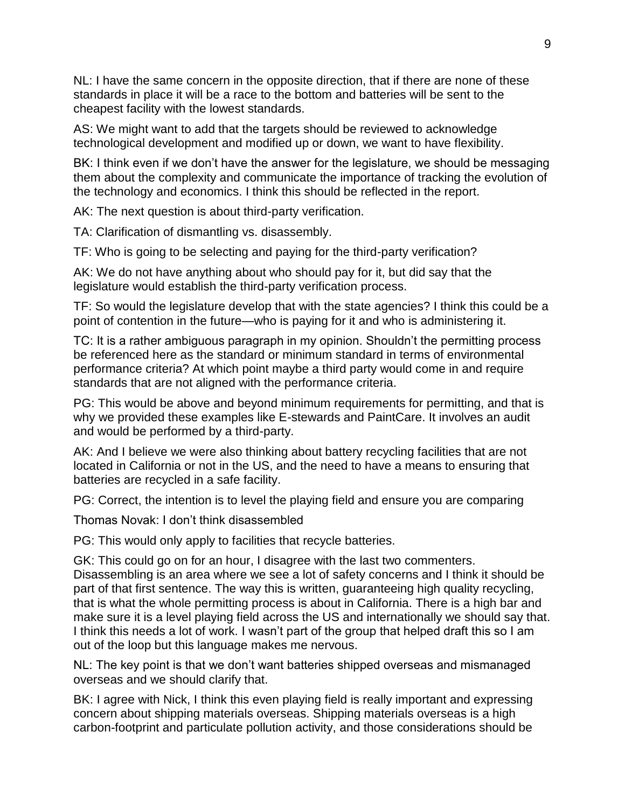NL: I have the same concern in the opposite direction, that if there are none of these standards in place it will be a race to the bottom and batteries will be sent to the cheapest facility with the lowest standards.

AS: We might want to add that the targets should be reviewed to acknowledge technological development and modified up or down, we want to have flexibility.

BK: I think even if we don't have the answer for the legislature, we should be messaging them about the complexity and communicate the importance of tracking the evolution of the technology and economics. I think this should be reflected in the report.

AK: The next question is about third-party verification.

TA: Clarification of dismantling vs. disassembly.

TF: Who is going to be selecting and paying for the third-party verification?

AK: We do not have anything about who should pay for it, but did say that the legislature would establish the third-party verification process.

TF: So would the legislature develop that with the state agencies? I think this could be a point of contention in the future—who is paying for it and who is administering it.

TC: It is a rather ambiguous paragraph in my opinion. Shouldn't the permitting process be referenced here as the standard or minimum standard in terms of environmental performance criteria? At which point maybe a third party would come in and require standards that are not aligned with the performance criteria.

PG: This would be above and beyond minimum requirements for permitting, and that is why we provided these examples like E-stewards and PaintCare. It involves an audit and would be performed by a third-party.

AK: And I believe we were also thinking about battery recycling facilities that are not located in California or not in the US, and the need to have a means to ensuring that batteries are recycled in a safe facility.

PG: Correct, the intention is to level the playing field and ensure you are comparing

Thomas Novak: I don't think disassembled

PG: This would only apply to facilities that recycle batteries.

GK: This could go on for an hour, I disagree with the last two commenters. Disassembling is an area where we see a lot of safety concerns and I think it should be part of that first sentence. The way this is written, guaranteeing high quality recycling, that is what the whole permitting process is about in California. There is a high bar and make sure it is a level playing field across the US and internationally we should say that. I think this needs a lot of work. I wasn't part of the group that helped draft this so I am out of the loop but this language makes me nervous.

NL: The key point is that we don't want batteries shipped overseas and mismanaged overseas and we should clarify that.

BK: I agree with Nick, I think this even playing field is really important and expressing concern about shipping materials overseas. Shipping materials overseas is a high carbon-footprint and particulate pollution activity, and those considerations should be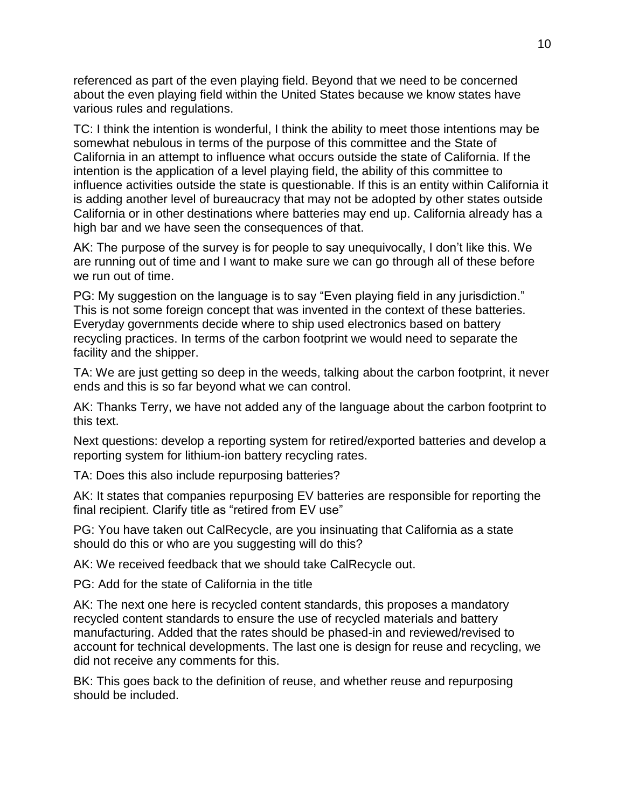referenced as part of the even playing field. Beyond that we need to be concerned about the even playing field within the United States because we know states have various rules and regulations.

TC: I think the intention is wonderful, I think the ability to meet those intentions may be somewhat nebulous in terms of the purpose of this committee and the State of California in an attempt to influence what occurs outside the state of California. If the intention is the application of a level playing field, the ability of this committee to influence activities outside the state is questionable. If this is an entity within California it is adding another level of bureaucracy that may not be adopted by other states outside California or in other destinations where batteries may end up. California already has a high bar and we have seen the consequences of that.

AK: The purpose of the survey is for people to say unequivocally, I don't like this. We are running out of time and I want to make sure we can go through all of these before we run out of time.

PG: My suggestion on the language is to say "Even playing field in any jurisdiction." This is not some foreign concept that was invented in the context of these batteries. Everyday governments decide where to ship used electronics based on battery recycling practices. In terms of the carbon footprint we would need to separate the facility and the shipper.

TA: We are just getting so deep in the weeds, talking about the carbon footprint, it never ends and this is so far beyond what we can control.

AK: Thanks Terry, we have not added any of the language about the carbon footprint to this text.

Next questions: develop a reporting system for retired/exported batteries and develop a reporting system for lithium-ion battery recycling rates.

TA: Does this also include repurposing batteries?

AK: It states that companies repurposing EV batteries are responsible for reporting the final recipient. Clarify title as "retired from EV use"

PG: You have taken out CalRecycle, are you insinuating that California as a state should do this or who are you suggesting will do this?

AK: We received feedback that we should take CalRecycle out.

PG: Add for the state of California in the title

AK: The next one here is recycled content standards, this proposes a mandatory recycled content standards to ensure the use of recycled materials and battery manufacturing. Added that the rates should be phased-in and reviewed/revised to account for technical developments. The last one is design for reuse and recycling, we did not receive any comments for this.

BK: This goes back to the definition of reuse, and whether reuse and repurposing should be included.